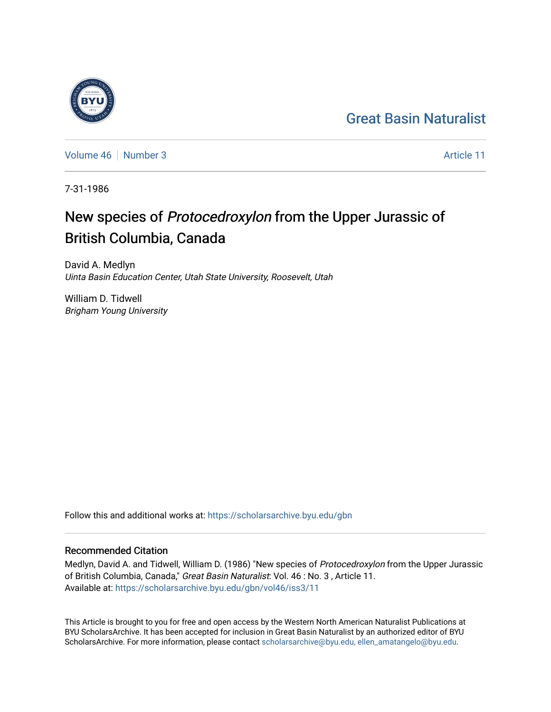## [Great Basin Naturalist](https://scholarsarchive.byu.edu/gbn)

[Volume 46](https://scholarsarchive.byu.edu/gbn/vol46) [Number 3](https://scholarsarchive.byu.edu/gbn/vol46/iss3) Article 11

7-31-1986

# New species of Protocedroxylon from the Upper Jurassic of British Columbia, Canada

David A. Medlyn Uinta Basin Education Center, Utah State University, Roosevelt, Utah

William D. Tidwell Brigham Young University

Follow this and additional works at: [https://scholarsarchive.byu.edu/gbn](https://scholarsarchive.byu.edu/gbn?utm_source=scholarsarchive.byu.edu%2Fgbn%2Fvol46%2Fiss3%2F11&utm_medium=PDF&utm_campaign=PDFCoverPages) 

## Recommended Citation

Medlyn, David A. and Tidwell, William D. (1986) "New species of Protocedroxylon from the Upper Jurassic of British Columbia, Canada," Great Basin Naturalist: Vol. 46 : No. 3 , Article 11. Available at: [https://scholarsarchive.byu.edu/gbn/vol46/iss3/11](https://scholarsarchive.byu.edu/gbn/vol46/iss3/11?utm_source=scholarsarchive.byu.edu%2Fgbn%2Fvol46%2Fiss3%2F11&utm_medium=PDF&utm_campaign=PDFCoverPages) 

This Article is brought to you for free and open access by the Western North American Naturalist Publications at BYU ScholarsArchive. It has been accepted for inclusion in Great Basin Naturalist by an authorized editor of BYU ScholarsArchive. For more information, please contact [scholarsarchive@byu.edu, ellen\\_amatangelo@byu.edu.](mailto:scholarsarchive@byu.edu,%20ellen_amatangelo@byu.edu)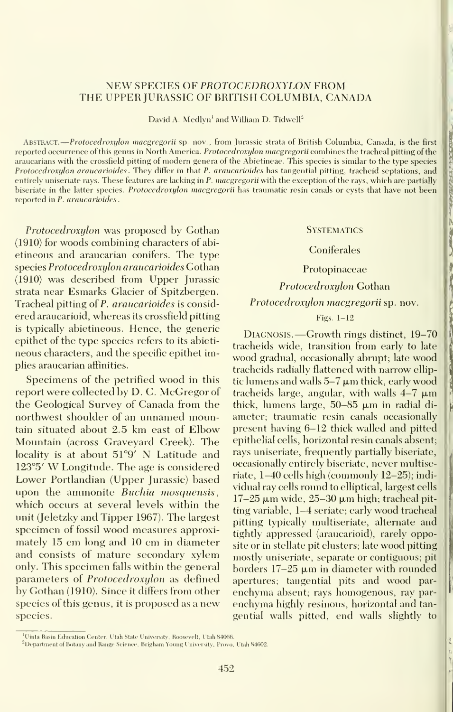$\overline{2}$ 

## NEW SPECIES OF PROTOCEDROXYLON FROM THE UPPER JURASSIC OF BRITISH COLUMBIA, CANADA

David A. Medlyn<sup>1</sup> and William D. Tidwell<sup>2</sup>

ABSTRACT. -- Protocedroxylon macgregorii sp. nov., from Jurassic strata of British Columbia, Canada, is the first reported occurrence of this genus in North America. *Protocedroxylon macgregorii* combines the tracheal pitting of the araucarians with the crossfield pitting of modern genera of the Abietineae. This species issimilar to the type species Protocedroxylon araucarioides . They differ in that P. araucarioides has tangential pitting, tracheid septations, and entirely uniseriate rays. These features are lacking in P. macgregorii with the exception of the rays, which are partially biseriate in the latter species. Protocedroxylon macgregorii has traumatic resin canals or cysts that have not been reported in P. araucarioides

Protocedroxylon was proposed by Gothan (1910) for woods combining characters of abi etineous and araucarian conifers. The type species Protocedroxylon araucarioides Gothan (1910) was described from Upper Jurassic strata near Esmarks Glacier of Spitzbergen. Tracheal pitting of P. araucarioides is considered araucarioid, whereas its crossfield pitting is typically abietineous. Hence, the generic epithet of the type species refers to its abieti neous characters, and the specific epithet implies araucarian affinities.

Specimens of the petrified wood in this report were collected by D. C. McGregor of the Geological Survey of Canada from the northwest shoulder of an unnamed mountain situated about 2.5 km east of Elbow Mountain (across Graveyard Creek). The locality is at about 51°9' N Latitude and 123°5' W Longitude. The age is considered Lower Portlandian (Upper Jurassic) based upon the ammonite Buchia mosquensis, which occurs at several levels within the unit (Jeletzky and Tipper 1967). The largest specimen of fossil wood measures approximately 15 cm long and 10 cm in diameter and consists of mature secondary xylem only. This specimen falls within the general parameters of *Protocedroxylon* as defined by Gothan (1910). Since it differs from other species of this genus, it is proposed as a new species.

#### **SYSTEMATICS**

### **Coniferales**

## Protopinaceae

Protocedroxylon Gothan

## Protocedroxijlon macgregorii sp. nov.

## Figs. 1-12

Diagnosis. —Growth rings distinct, 19-70 tracheids wide, transition from early to late wood gradual, occasionally abrupt; late wood tracheids radially flattened with narrow elliptic lumens and walls  $5-7 \mu m$  thick, early wood tracheids large, angular, with walls  $4-7 \mu m$ thick, lumens large,  $50-85 \mu m$  in radial diameter; traumatic resin canals occasionally present having 6-12 thick walled and pitted epithelial cells, horizontal resin canals absent; rays uniseriate, frequently partially biseriate, occasionally entirely biseriate, never multiseriate, 1-40 cells high (commonly 12-25); indi vidual ray cells round to elliptical, largest cells  $17-25 \mu m$  wide,  $25-30 \mu m$  high; tracheal pitting variable, 1-4 seriate; early wood tracheal pitting typically multiseriate, alternate and tightly appressed (araucarioid), rarely opposite or in stellate pit clusters; late wood pitting mostly uniseriate, separate or contiguous; pit borders  $17-25 \mu m$  in diameter with rounded apertures; tangential pits and wood par enchyma absent; rays homogenous, ray par enchyma highly resinous, horizontal and tan gential walls pitted, end walls slightly to

Uinta Basin Education Center, Utah State University, Roosevelt, Utah 84066.

 $^{\circ}$ Department of Botany and Range Science, Brigham Young University, Provo, Utah 84602.  $-$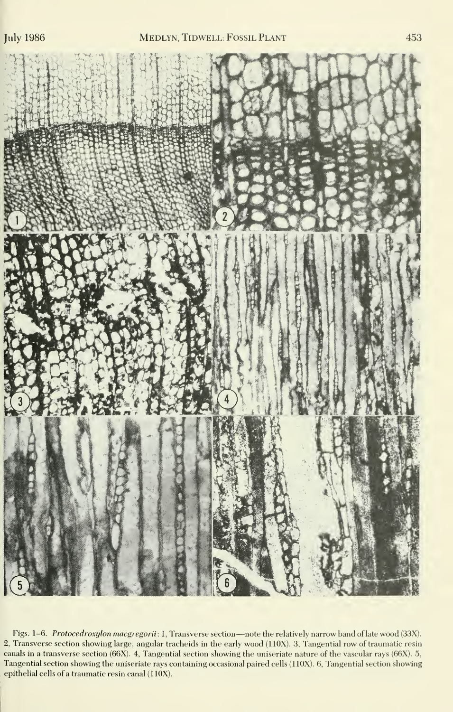

Figs. 1-6. Protocedroxylon macgregorii: 1, Transverse section-note the relatively narrow band of late wood (33X). 2, Transverse section showing large, angular tracheids in the early wood (110X). 3, Tangential row of traumatic resin canals in a transverse section (66X). 4, Tangential section showing the uniseriate nature of the vascular rays (66X). 5, Tangential section showing the uniseriate rays containing occasional paired cells (110X). 6, Tangential section showing epithelial cells of a traumatic resin canal (110X).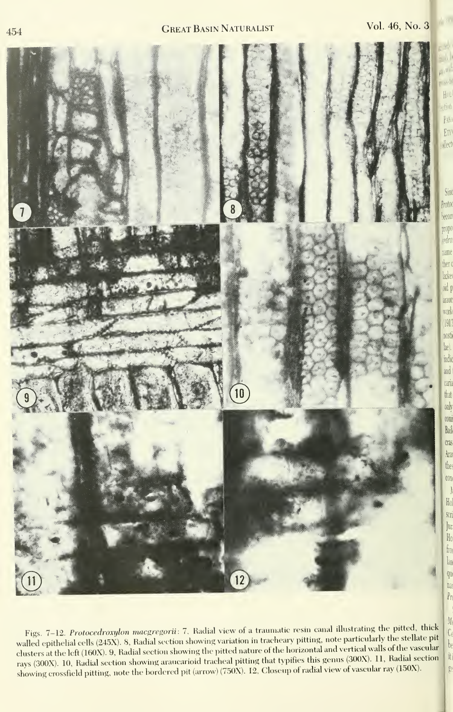$H<sub>01</sub>$ dinh PARA En<sup>1</sup> **Allect** 

Sino Proton hecon propo redro name ther o lacke oid p arauc work  $1910$ nosti lae). indio and caria

> that  $\omega$  $\infty$ ni Bail cras Ara the  $\overline{\text{con}}$  $\overline{\phantom{a}}$  $H<sub>0</sub>$ ser. Jur  $H<sub>0</sub>$  $f_{10}$ lan qu na  $Pr$  $\overline{\mathcal{M}}$



Figs. 7-12. Protocedroxylon macgregorii: 7, Radial view of a traumatic resin canal illustrating the pitted, thick  $\frac{d}{f}$ walled epithelial cells (245X). 8, Radial section showing variation in tracheary pitting, note particularly the stellate pit clusters at the left (160X). 9, Radial section showing the pitted nature of the horizontal and vertical walls of the vascular rays (300X) <sup>10</sup> Radial section showing araucarioid tracheal pitting that typifies this genus (300X). 11, Radial section showing crossfield pitting, note the hordered pit (arrow) (750X). 12, Closeup of radial view of vascular ray (150X).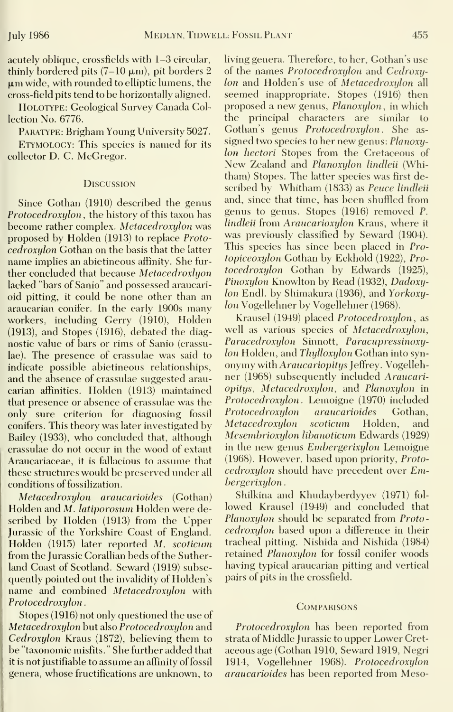acutely oblique, crossfields with 1-3 circular, thinly bordered pits  $(7-10 \mu m)$ , pit borders 2  $\mu$ m wide, with rounded to elliptic lumens, the cross-field pits tend to be horizontally aligned.

HOLOTYPE: Geological Survey Canada Collection No. 6776.

PARATYPE: Brigham Young University 5027.

Etymology: This species is named for its collector D. C. McGregor.

### **DISCUSSION**

Since Gothan (1910) described the genus Protocedroxylon, the history of this taxon has become rather complex. Metacedroxylon was proposed by Holden (1913) to replace Protocedroxulon Gothan on the basis that the latter name implies an abietineous affinity. She fur ther concluded that because Metacedroxlyon lacked "bars of Sanio" and possessed araucari oid pitting, it could be none other than an araucarian conifer. In the early 1900s many workers, including Gerry (1910), Holden (1913), and Stopes (1916), debated the diagnostic value of bars or rims of Sanio (crassulae). The presence of crassulae was said to indicate possible abietineous relationships, and the absence of crassulae suggested araucarian affinities. Holden (1913) maintained that presence or absence of crassulae was the only sure criterion for diagnosing fossil conifers. This theory was later investigated by Bailey (1933), who concluded that, although crassulae do not occur in the wood of extant Araucariaceae, it is fallacious to assume that these structures would be preserved under allconditions of fossilization.

Metacedroxylon araucarioides (Gothan) Holden and M. latiporosum Holden were described by Holden (1913) from the Upper Jurassic of the Yorkshire Coast of England. Holden (1915) later reported M. scoticum from the Jurassic Corallian beds of the Sutherland Coast of Scotland. Seward (1919) subse quently pointed out the invalidity of Holden's name and combined Metacedroxylon with Protocedroxylon

Stopes (1916) not only questioned the use of Metacedroxylon but also Protocedroxylon and Cedroxylon Kraus (1872), believing them to be "taxonomic misfits." She further added that it is not justifiable to assume an affinity of fossil genera, whose fructifications are unknown, to living genera. Therefore, to her, Gothan's use of the names *Protocedroxulou* and *Cedroxu*lon and Holden's use of Metacedroxulon all seemed inappropriate. Stopes (1916) then proposed <sup>a</sup> new genus, Planoxylon, in which the principal characters are similar to Gothan's genus Protocedroxylon. She as signed two species to her new genus: Planoxylon hectori Stopes from the Cretaceous of New Zealand and Planoxylon lindleii (Whitham) Stopes. The latter species was first described by Whitham (1833) as Peuce lindleii and, since that time, has been shuffled from genus to genus. Stopes (1916) removed P. lindleii from Araucarioxylon Kraus, where it was previously classified by Seward (1904). This species has since been placed in Protopiceoxylon Gothan by Eckhold (1922), Pro tocedroxylon Gothan by Edwards (1925), Pinoxylon Knowlton by Read (1932), Dadoxylon Endl. by Shimakura (1936), and Yorkoxylon Vogellehner by Vogellehner (1968).

Krausel (1949) placed Protocedroxylon, as well as various species of Metacedroxylon, Paracedroxylon Sinnott, Paracupressinoxylon Holden, and Thylloxylon Gothan into syn onymy with Araucariopitys Jeffrey. Vogellehner (1968) subsequently included Araucariopitys, Metacedroxylon, and Planoxylon in Protocedroxylon. Lemoigne (1970) included Protocedroxylon araucarioides Gothan,<br>Metacedroxulon scoticum Holden, and Metacedroxylon scoticum Holden, and Mesemhrioxylon lihanoticum Edwards (1929) in the new genus Embergerixylon Lemoigne (1968). However, based upon priority, Proto  $cedroxylon$  should have precedent over  $Em$ bergerixylon

Shilkina and Khudayberdyyev (1971) fol lowed Krausel (1949) and concluded that Planoxylon should be separated from Protocedroxylon based upon a difference in their tracheal pitting. Nishida and Nishida (1984) retained Planoxylon for fossil conifer woods having typical araucarian pitting and vertical pairs of pits in the crossfield.

#### **COMPARISONS**

Protocedroxylon has been reported from strata of Middle Jurassic to upper Lower Cret aceous age (Gothan 1910, Seward 1919, Negri 1914, Vogellehner 1968). Protocedroxylon araucarioides has been reported from Meso-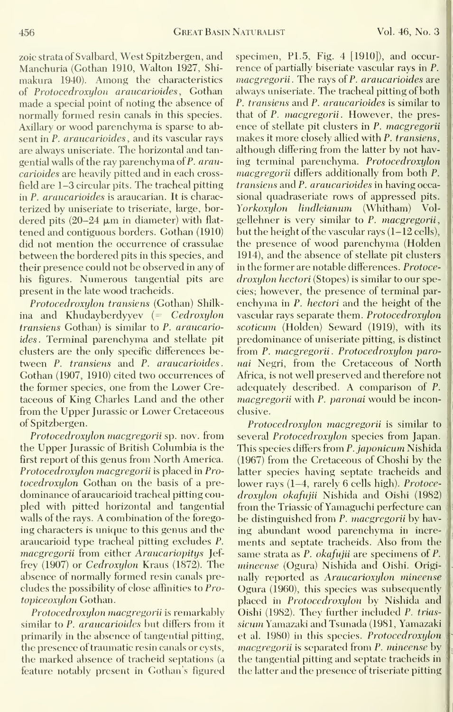zoic strata of Svalbard, West Spitzbergen, and Manchuria (Gothan 1910, Walton 1927, Shi makura 1940). Among the characteristics of Protocedroxylon araucarioides, Gothan made a special point of noting the absence of normally formed resin canals in this species. Axillary or wood parenchyma is sparse to ab sent in P. *araucarioides*, and its vascular rays are always uniseriate. The horizontal and tan gential walls of the ray parenchyma of P. araucarioides are heavily pitted and in each crossfield are 1-3 circular pits. The tracheal pitting in P. araucarioides is araucarian. It is characterized by uniseriate to triseriate, large, bor dered pits  $(20-24 \mu m)$  in diameter) with flattened and contiguous borders. Gothan (1910) did not mention the occurrence of crassulae between the bordered pits in this species, and their presence could not be observed in any of his figures. Numerous tangential pits are present in the late wood tracheids.

Protocedroxylon transiens (Gothan) Shilkina and Khudayberdyyev (= Cedroxylon transiens Gothan) is similar to P. araucarioides. Terminal parenchyma and stellate pit clusters are the only specific differences be tween P. transiens and P. araucarioides. Gothan (1907, 1910) cited two occurrences of the former species, one from the Lower Cretaceous of King Charles Land and the other from the Upper Jurassic or Lower Cretaceous of Spitzbergen.

Protocedroxylon macgregorii sp. nov. from the Upper Jurassic of British Columbia is the first report of this genus from North America. Protocedroxylon macgregorii is placed in Pro tocedroxylon Gothan on the basis of a pre dominance of araucarioid tracheal pitting cou pled with pitted horizontal and tangential walls of the rays. A combination of the forego ing characters is unique to this genus and the araucarioid type tracheal pitting excludes P. macgregorii from either Araucariopitys Jef frey (1907) or Cedroxylon Kraus (1872). The absence of normally formed resin canals pre cludes the possibility of close affinities to Protopiceoxylon Gothan.

Protocedroxylon macgregorii is remarkably similar to P. araucarioides but differs from it primarily in the absence of tangential pitting, the presence of traumatic resin canals or cysts, the marked absence of tracheid septations (a feature notably present in Gothan's figured specimen,  $P1.5$ , Fig. 4  $[1910]$ , and occurrence of partially biseriate vascular rays in P. macgregorii. The rays of P. araucarioides are always uniseriate. The tracheal pitting of both P. transiens and P. araucarioides is similar to that of P. macgregorii. However, the pres ence of stellate pit clusters in P. macgregorii makes it more closely allied with P. transiens, although differing from the latter by not having terminal parenchyma. Protocedroxylon macgregorii differs additionally from both P. transiens and P. araucarioides in having occasional quadraseriate rows of appressed pits. Yorkoxylon lindleianum (Whitham) Vol gellehner is very similar to P. macgregorii, but the height of the vascular rays (1-12 cells), the presence of wood parenchyma (Holden 1914), and the absence of stellate pit clusters in the former are notable differences. Protoce droxylon hectori (Stopes) is similar to our species; however, the presence of terminal par enchyma in P. hectori and the height of the vascular rays separate them. Protocedroxylon scoticum (Holden) Seward (1919), with its predominance of uniseriate pitting, is distinct from P. macgregorii. Protocedroxylon paronai Negri, from the Cretaceous of North Africa, is not well preserved and therefore not adequately described. A comparison of P. macgregorii with P. paronai would be inconclusive.

Protocedroxylon macgregorii is similar to several *Protocedroxylon* species from Japan. This species differs from P. japonicum Nishida (1967) from the Cretaceous of Choshi by the latter species having septate tracheids and lower rays (1-4, rarely 6 cells high). Protoce droxylon okafujii Nishida and Oishi (1982) from the Triassic of Yamaguchi perfecture can be distinguished from P. macgregorii by having abundant wood parenchyma in incre ments and septate tracheids. Also from the same strata as P. *okafujii* are specimens of P. mincense (Ogura) Nishida and Oishi. Originally reported as Araucarioxylon mineense Ogura (1960), this species was subsequently placed in Protocedroxylon by Nishida and Oishi (1982). They further included P. trias sicum Yamazaki and Tsunada (1981, Yamazaki et al. 1980) in this species. Protocedroxylon macgregorii is separated from P. mineense by the tangential pitting and septate tracheids in the latter and the presence of triseriate pitting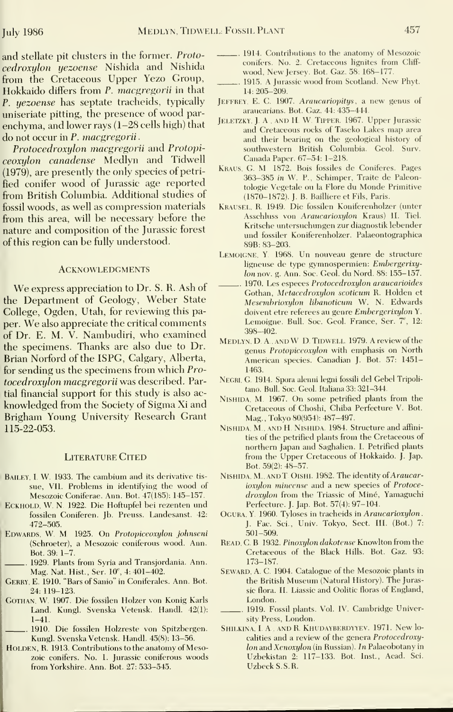and stellate pit clusters in the former. Protocedroxulon yezoense Nishida and Nishida from the Cretaceous Upper Yezo Group, Hokkaido differs from P. macgregorii in that P. yezoense has septate tracheids, typically uniseriate pitting, the presence of wood par enchyma, and lower rays (1-28 cells high) that do not occur in P. macgregorii

Protocedroxylon macgregorii and Protopiceoxylon canadense Medlyn and Tidwell (1979), are presently the only species of petrified conifer wood of Jurassic age reported from British Columbia. Additional studies of fossil woods, as well as compression materials from this area, will be necessary before the nature and composition of the Jurassic forest of this region can be fully understood.

#### **ACKNOWLEDGMENTS**

We express appreciation to Dr. S. R. Ash of the Department of Geology, Weber State College, Ogden, Utah, for reviewing this paper. We also appreciate the critical comments of Dr. E. M. V. Nambudiri, who examined the specimens. Thanks are also due to Dr. Brian Norford of the ISPG, Calgary, Alberta, for sending us the specimens from which Pro tocedroxylon macgregorii was described. Partial financial support for this study is also acknowledged from the Society of Sigma Xi and Brigham Young University Research Grant 115-22-053.

### **LITERATURE CITED**

- BAILEY, I. W. 1933. The cambium and its derivative tissue, VII. Problems in identifying the wood of Mesozoic Coniferae. Ann. Bot. 47(185): 145-157.
- ECKHOLD, W. N. 1922. Die Hoftupfel bei rezenten und fossilen Coniferen. Jb. Preuss. Landesanst. 42: 472-505.
- EDWARDS, W. M. 1925. On Protopiceoxylon johnseni (Schroeter), a Mesozoic coniferous wood. Ann. Bot. 39: 1-7.
- 1929. Plants from Syria and Transjordania. Ann. Mag. Nat. Hist., Ser. 10<sup>e</sup>, 4: 401-402.
- GERRY, E. 1910. "Bars of Sanio" in Coniferales. Ann. Bot. 24: 119-123.
- GOTHAN, W. 1907. Die fossilen Holzer von Konig Karls Land. Kungl. Svenska Vetensk. Handl. 42(1): 1-41.
	- 1910. Die fossilen Holzreste von Spitzbergen. Kungl. Svenska Vetensk. Handl. 45(8): 13-56.
- HOLDEN, R. 1913. Contributions to the anatomy of Mesozoic conifers. No. 1. Jurassic coniferous woods from Yorkshire. Ann. Bot. 27: 5.33-545.
- 1914. Contributions to the anatomy of Mesozoic conifers. No. 2. Cretaceous lignites from Cliff wood, New Jersey. Bot. Gaz. 58: 168-177.
- 1915. A Jiuassic wood from Scotland. New Phyt. 14: 205-209.
- Jeffrey, E. C. 1907. Araucariopitys , <sup>a</sup> new genus of araucarians. Bot. Gaz. 44: 435-444.
- JELETZKY, J. A., AND H. W. TIPPER. 1967. Upper Jurassic and Cretaceous rocks of Taseko Lakes map area and their bearing on the geological history of .southwestern British Columbia. Geol. Surv. Canada Paper. 67-54: 1-218.
- Kraus, G. M. 1872. Bois fossiles de Coniferes. Pages .363-385 in W. P., Schimper, Traite de Paleontologie Vegetale on la Flore du Monde Primitive (1870-1872). J. B. Bailliere et Fils, Paris.
- Krausel, R. 1949. Die fossilen Koniferenholzer (unter Asschluss von Araucarioxylon Kraus) II. Tiel. Kritsche untersuchungen zur diagnostik lebender und fossiler Koniferenholzer. Palaeontographica 89B: 83-203.
- Lemoigne, Y. 1968. Un nouveau genre de structure ligneuse de type gymnospermien: Embergerixylonnov. g. Ann. Soc. Geol. du Nord. 88: 155-157.
- 1970. Les especes Protocedroxylon araucarioides Gothan, Metacedroxylon scoticum R. Holden et Mesemhrioxylon Hbanoticum W. N. Edwards doivent etre referees au genre Embergerixylon Y. Lemoigne. Bull. Soc. Geol. France, Ser. 7<sup>e</sup>, 12: 398-402.
- MEDLYN, D. A., AND W D. TIDWELL 1979. A review of the genus Protopiceoxylon with emphasis on North American species. Canadian J. Bot. 57: 1451- 1463.
- NEGRI, G. 1914. Spora alenni legni fossili del Gebel Tripolitano. Bull. Soc. Geol, Italiana 33: 321-344.
- Nishida, M. 1967. On some petrified plants from the Cretaceous of Choshi, Chiba Perfecture V. Bot. Mag., Tokyo 80(954): 487-497.
- Nishida, M., and H. Nishida. 1984. Structure and affinities of the petrified plants from the Cretaceous of northern Japan and Saghalien. I. Petrified plants from the Upper Cretaceous of Hokkaido. J. Jap. Bot. 59(2): 48-57.
- NISHIDA, M., AND T. OISHI. 1982. The identity of Araucarioxylon mineense and a new species of Protoce droxylon from the Triassic of Miné, Yamaguchi Perfecture. J. Jap. Bot. 57(4): 97-104.
- OGURA, Y. 1960. Tyloses in tracheids in Araucarioxylon. J. Fac. Sci., Univ. Tokyo, Sect. III. (Bot.) 7: 501-509.
- READ, C. B. 1932. Pinoxylon dakotense Knowlton from the Cretaceous of the Black Hills. Bot. Gaz. 93: 173-187.
- SEWARD, A. C. 1904. Catalogue of the Mesozoic plants in the British Museum (Natural History). The Jurassic flora. II. Liassic and Oolitic floras of England, London.
- 1919. Fossil plants. Vol, IV. Cambridge University Press, London.
- SHILKINA, I. A., AND R. KHUDAYBERDYYEV. 1971. New localities and a review of the genera Protocedroxylon and Xenoxylon (in Russian). In Palaeobotany in Uzbekistan 2: 117-133. Bot. Inst., Acad. Sci. UzbeckS.S.R.